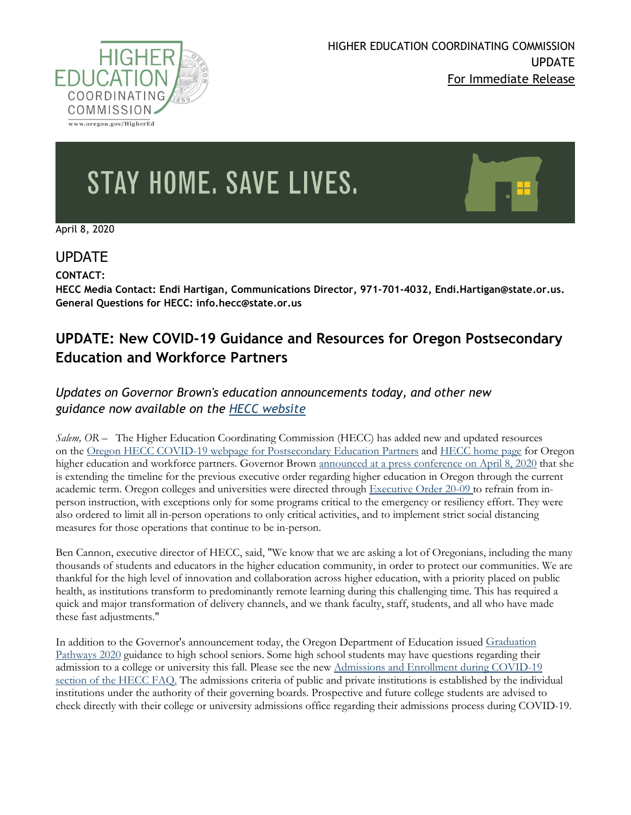

# STAY HOME, SAVE LIVES.

April 8, 2020

## UPDATE

**CONTACT:** 

**HECC Media Contact: Endi Hartigan, Communications Director, 971-701-4032, Endi.Hartigan@state.or.us. General Questions for HECC: info.hecc@state.or.us**

# **UPDATE: New COVID-19 Guidance and Resources for Oregon Postsecondary Education and Workforce Partners**

## *Updates on Governor Brown's education announcements today, and other new guidance now available on the [HECC website](https://www.oregon.gov/highered/Pages/index.aspx)*

*Salem, OR –* The Higher Education Coordinating Commission (HECC) has added new and updated resources on the [Oregon HECC COVID-19 webpage for Postsecondary Education Partners](https://www.oregon.gov/highered/about/Pages/COVID19.aspx) and [HECC home page](https://www.oregon.gov/highered/Pages/index.aspx) for Oregon higher education and workforce partners. Governor Brown [announced at a press conference on April 8, 2020](https://www.oregon.gov/newsroom/Pages/NewsDetail.aspx?newsid=36318) that she is extending the timeline for the previous executive order regarding higher education in Oregon through the current academic term. Oregon colleges and universities were directed through [Executive Order 20-09](https://www.oregon.gov/gov/Documents/executive_orders/eo_20-09.pdf) to refrain from inperson instruction, with exceptions only for some programs critical to the emergency or resiliency effort. They were also ordered to limit all in-person operations to only critical activities, and to implement strict social distancing measures for those operations that continue to be in-person.

Ben Cannon, executive director of HECC, said, "We know that we are asking a lot of Oregonians, including the many thousands of students and educators in the higher education community, in order to protect our communities. We are thankful for the high level of innovation and collaboration across higher education, with a priority placed on public health, as institutions transform to predominantly remote learning during this challenging time. This has required a quick and major transformation of delivery channels, and we thank faculty, staff, students, and all who have made these fast adjustments."

In addition to the Governor's announcement today, the Oregon Department of Education issued [Graduation](https://www.oregon.gov/ode/students-and-family/healthsafety/Documents/Graduation%20Pathways%202020%20Guidance.pdf?utm_medium=email&utm_source=govdelivery)  [Pathways 2020](https://www.oregon.gov/ode/students-and-family/healthsafety/Documents/Graduation%20Pathways%202020%20Guidance.pdf?utm_medium=email&utm_source=govdelivery) guidance to high school seniors. Some high school students may have questions regarding their admission to a college or university this fall. Please see the new [Admissions and Enrollment during COVID-19](https://www.oregon.gov/highered/about/Pages/COVID-19-FAQ.aspx)  [section of the HECC](https://www.oregon.gov/highered/about/Pages/COVID-19-FAQ.aspx) FAQ. The admissions criteria of public and private institutions is established by the individual institutions under the authority of their governing boards. Prospective and future college students are advised to check directly with their college or university admissions office regarding their admissions process during COVID-19.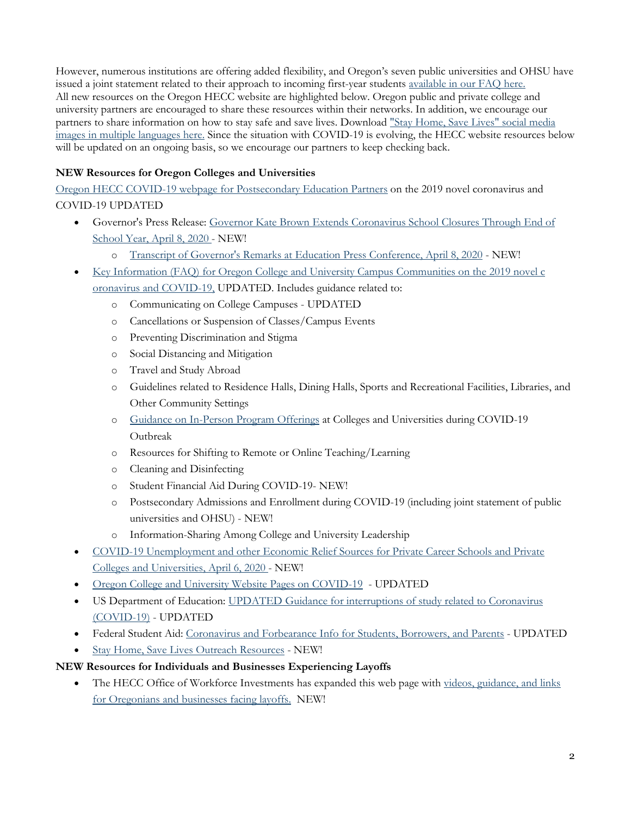However, numerous institutions are offering added flexibility, and Oregon's seven public universities and OHSU have issued a joint statement related to their approach to incoming first-year students [available in our FAQ here.](https://www.oregon.gov/highered/about/Pages/COVID-19-FAQ.aspx) All new resources on the Oregon HECC website are highlighted below. Oregon public and private college and university partners are encouraged to share these resources within their networks. In addition, we encourage our partners to share information on how to stay safe and save lives. Download ["Stay Home, Save Lives" social media](https://govstatus.egov.com/or-stay-home-save-lives)  [images in multiple languages here.](https://govstatus.egov.com/or-stay-home-save-lives) Since the situation with COVID-19 is evolving, the HECC website resources below will be updated on an ongoing basis, so we encourage our partners to keep checking back.

### **NEW Resources for Oregon Colleges and Universities**

[Oregon HECC COVID-19 webpage for Postsecondary Education Partners](https://www.oregon.gov/highered/about/Pages/COVID19.aspx) on the 2019 novel coronavirus and COVID-19 UPDATED

- Governor's Press Release: [Governor Kate Brown Extends Coronavirus School Closures Through End of](https://www.oregon.gov/newsroom/Pages/NewsDetail.aspx?newsid=36318)  [School Year, April 8, 2020](https://www.oregon.gov/newsroom/Pages/NewsDetail.aspx?newsid=36318) - NEW!
	- o [Transcript of Governor's Remarks at Education Press Conference,](https://drive.google.com/file/d/1dWnYF2o2yRa-7v2LJVxzBEoYPgy6kRmv/view) April 8, 2020 NEW!
- [Key Information \(FAQ\) for Oregon College and University Campus Communities on the 2019 novel c](https://www.oregon.gov/highered/about/Pages/COVID-19-FAQ.aspx) [oronavirus and COVID-19,](https://www.oregon.gov/highered/about/Pages/COVID-19-FAQ.aspx) UPDATED. Includes guidance related to:
	- o Communicating on College Campuses UPDATED
	- o Cancellations or Suspension of Classes/Campus Events
	- o Preventing Discrimination and Stigma
	- o Social Distancing and Mitigation
	- o Travel and Study Abroad
	- o Guidelines related to Residence Halls, Dining Halls, Sports and Recreational Facilities, Libraries, and Other Community Settings
	- o [Guidance on In-Person Program Offerings](https://www.oregon.gov/highered/about/Documents/News-Updates/HECC-In-Person-Program-Guidance_20March2020.pdf) at Colleges and Universities during COVID-19 Outbreak
	- o Resources for Shifting to Remote or Online Teaching/Learning
	- o Cleaning and Disinfecting
	- o Student Financial Aid During COVID-19- NEW!
	- o Postsecondary Admissions and Enrollment during COVID-19 (including joint statement of public universities and OHSU) - NEW!
	- o Information-Sharing Among College and University Leadership
- [COVID-19 Unemployment and other Economic Relief Sources for Private Career Schools and Private](https://www.oregon.gov/highered/about/Documents/News-Updates/Unemployment-PPS-COVID19-April6249pm.pdf)  [Colleges and Universities, April 6, 2020](https://www.oregon.gov/highered/about/Documents/News-Updates/Unemployment-PPS-COVID19-April6249pm.pdf) - NEW!
- [Oregon College and University Website Pages on COVID-19](https://www.oregon.gov/highered/about/Pages/COVID-19-institution-websites.aspx) UPDATED
- US Department of Education: [UPDATED Guidance for interruptions of study related to Coronavirus](https://ifap.ed.gov/electronic-announcements/040320UPDATEDGuidanceInterruptStudyRelCOVID19)  [\(COVID-19\)](https://ifap.ed.gov/electronic-announcements/040320UPDATEDGuidanceInterruptStudyRelCOVID19) - UPDATED
- Federal Student Aid: [Coronavirus and Forbearance Info for Students, Borrowers, and Parents](https://studentaid.gov/announcements-events/coronavirus) UPDATED
- [Stay Home, Save Lives Outreach Resources](https://govstatus.egov.com/or-stay-home-save-lives) NEW!

#### **NEW Resources for Individuals and Businesses Experiencing Layoffs**

The HECC Office of Workforce Investments has expanded this web page with videos, guidance, and links [for Oregonians and businesses facing layoffs.](https://www.oregon.gov/highered/institutions-programs/workforce/Pages/dislocated-worker-program.aspx) NEW!